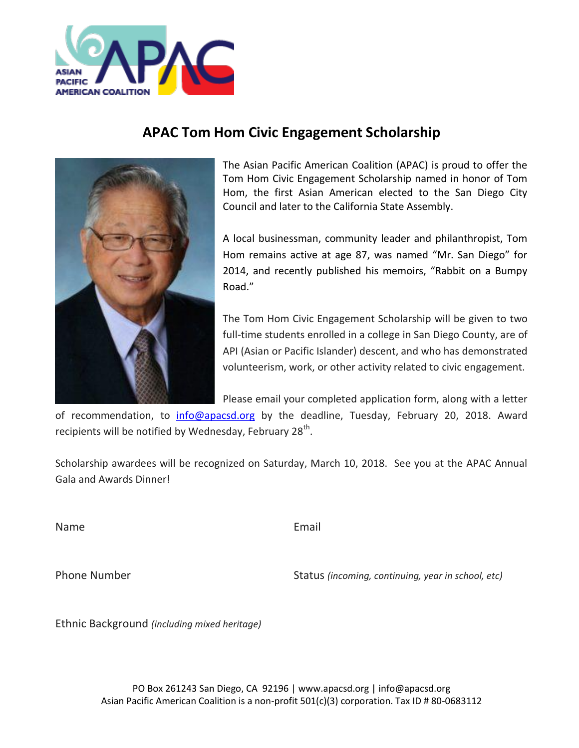

## **APAC Tom Hom Civic Engagement Scholarship**



The Asian Pacific American Coalition (APAC) is proud to offer the Tom Hom Civic Engagement Scholarship named in honor of Tom Hom, the first Asian American elected to the San Diego City Council and later to the California State Assembly.

A local businessman, community leader and philanthropist, Tom Hom remains active at age 87, was named "Mr. San Diego" for 2014, and recently published his memoirs, "Rabbit on a Bumpy Road."

The Tom Hom Civic Engagement Scholarship will be given to two full-time students enrolled in a college in San Diego County, are of API (Asian or Pacific Islander) descent, and who has demonstrated volunteerism, work, or other activity related to civic engagement.

Please email your completed application form, along with a letter

of recommendation, to [info@apacsd.org](mailto:info@apacsd.org) by the deadline, Tuesday, February 20, 2018. Award recipients will be notified by Wednesday, February 28<sup>th</sup>.

Scholarship awardees will be recognized on Saturday, March 10, 2018. See you at the APAC Annual Gala and Awards Dinner!

Name **Email** 

Phone Number **Number** Status *(incoming, continuing, year in school, etc)* 

Ethnic Background *(including mixed heritage)*